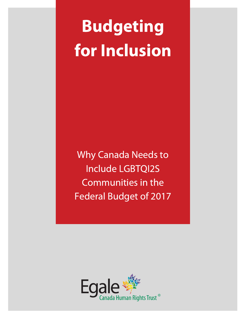# Budgeting for Inclusion

Why Canada Needs to Include LGBTQI2S Communities in the Federal Budget of 2017

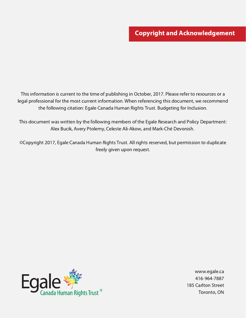This information is current to the time of publishing in October, 2017. Please refer to resources or a legal professional for the most current information. When referencing this document, we recommend the following citation: Egale Canada Human Rights Trust. Budgeting for Inclusion.

This document was written by the following members of the Egale Research and Policy Department: Alex Bucik, Avery Ptolemy, Celeste Ali-Akow, and Mark-Ché Devonish.

©Copyright 2017, Egale Canada Human Rights Trust. All rights reserved, but permission to duplicate freely given upon request.



www.egale.ca 416-964-7887 185 Carlton Street Toronto, ON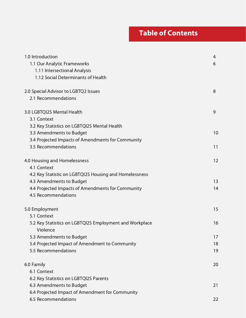# Table of Contents

| 1.0 Introduction<br>1.1 Our Analytic Frameworks<br>1.11 Intersectional Analysis | 4<br>6 |
|---------------------------------------------------------------------------------|--------|
| 1.12 Social Determinants of Health                                              |        |
| 2.0 Special Advisor to LGBTQ2 Issues                                            | 8      |
| 2.1 Recommendations                                                             |        |
| 3.0 LGBTQI2S Mental Health                                                      | 9      |
| 3.1 Context                                                                     |        |
| 3.2 Key Statistics on LGBTQI2S Mental Health                                    |        |
| 3.3 Amendments to Budget                                                        | 10     |
| 3.4 Projected Impacts of Amendments for Community                               |        |
| 3.5 Recommendations                                                             | 11     |
| 4.0 Housing and Homelessness                                                    | 12     |
| 4.1 Context                                                                     |        |
| 4.2 Key Statistic on LGBTQI2S Housing and Homelessness                          |        |
| 4.3 Amendments to Budget                                                        | 13     |
| 4.4 Projected Impacts of Amendments for Community                               | 14     |
| 4.5 Recommendations                                                             |        |
| 5.0 Employment                                                                  | 15     |
| 5.1 Context                                                                     |        |
| 5.2 Key Statistics on LGBTQI2S Employment and Workplace                         | 16     |
| Violence                                                                        |        |
| 5.3 Amendments to Budget                                                        | 17     |
| 5.4 Projected Impact of Amendment to Community                                  | 18     |
| 5.5 Recommendations                                                             | 19     |
| 6.0 Family                                                                      | 20     |
| 6.1 Context                                                                     |        |
| 6.2 Key Statistics on LGBTQI2S Parents                                          |        |
| 6.3 Amendments to Budget                                                        | 21     |
| 6.4 Projected Impact of Amendment for Community                                 |        |
| 6.5 Recommendations                                                             | 22     |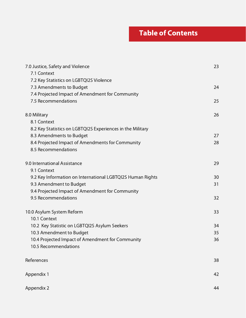# Table of Contents

| 7.0 Justice, Safety and Violence<br>7.1 Context            | 23 |
|------------------------------------------------------------|----|
| 7.2 Key Statistics on LGBTQI2S Violence                    |    |
| 7.3 Amendments to Budget                                   | 24 |
| 7.4 Projected Impact of Amendment for Community            |    |
| 7.5 Recommendations                                        | 25 |
| 8.0 Military                                               | 26 |
| 8.1 Context                                                |    |
| 8.2 Key Statistics on LGBTQI2S Experiences in the Military |    |
| 8.3 Amendments to Budget                                   | 27 |
| 8.4 Projected Impact of Amendments for Community           | 28 |
| 8.5 Recommendations                                        |    |
| 9.0 International Assistance                               | 29 |
| 9.1 Context                                                |    |
| 9.2 Key Information on International LGBTQI2S Human Rights | 30 |
| 9.3 Amendment to Budget                                    | 31 |
| 9.4 Projected Impact of Amendment for Community            |    |
| 9.5 Recommendations                                        | 32 |
| 10.0 Asylum System Reform                                  | 33 |
| 10.1 Context                                               |    |
| 10.2 Key Statistic on LGBTQI2S Asylum Seekers              | 34 |
| 10.3 Amendment to Budget                                   | 35 |
| 10.4 Projected Impact of Amendment for Community           | 36 |
| 10.5 Recommendations                                       |    |
| References                                                 | 38 |
| Appendix 1                                                 | 42 |
| <b>Appendix 2</b>                                          | 44 |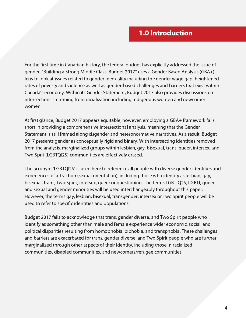For the first time in Canadian history, the federal budget has explicitly addressed the issue of gender. "Building a Strong Middle Class: Budget 2017" uses a Gender Based Analysis (GBA+) lens to look at issues related to gender inequality including the gender wage gap, heightened rates of poverty and violence as well as gender-based challenges and barriers that exist within Canada's economy. Within its Gender Statement, Budget 2017 also provides discussions on intersections stemming from racialization including Indigenous women and newcomer women.

At first glance, Budget 2017 appears equitable; however, employing a GBA+ framework falls short in providing a comprehensive intersectional analysis, meaning that the Gender Statement is still framed along cisgender and heteronormative narratives. As a result, Budget 2017 presents gender as conceptually rigid and binary. With intersecting identities removed from the analysis, marginalized groups within lesbian, gay, bisexual, trans, queer, intersex, and Two Sprit (LGBTQI2S) communities are effectively erased.

The acronym 'LGBTQI2S' is used here to reference all people with diverse gender identities and experiences of attraction (sexual orientation), including those who identify as lesbian, gay, bisexual, trans, Two Spirit, intersex, queer or questioning. The terms LGBTIQ2S, LGBTI, queer and sexual and gender minorities will be used interchangeably throughout this paper. However, the terms gay, lesbian, bisexual, transgender, intersex or Two Spirit people will be used to refer to specific identities and populations.

Budget 2017 fails to acknowledge that trans, gender diverse, and Two Spirit people who identify as something other than male and female experience wider economic, social, and political disparities resulting from homophobia, biphobia, and transphobia. These challenges and barriers are exacerbated for trans, gender diverse, and Two Spirit people who are further marginalized through other aspects of their identity, including those in racialized communities, disabled communities, and newcomers/refugee communities.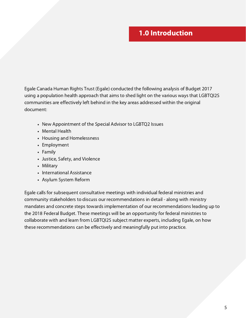# 1.0 Introduction

Egale Canada Human Rights Trust (Egale) conducted the following analysis of Budget 2017 using a population health approach that aims to shed light on the various ways that LGBTQI2S communities are effectively left behind in the key areas addressed within the original document:

- New Appointment of the Special Advisor to LGBTQ2 Issues
- Mental Health
- Housing and Homelessness
- Employment
- Family
- Justice, Safety, and Violence
- Military
- International Assistance
- Asylum System Reform

Egale calls for subsequent consultative meetings with individual federal ministries and community stakeholders to discuss our recommendations in detail - along with ministry mandates and concrete steps towards implementation of our recommendations leading up to the 2018 Federal Budget. These meetings will be an opportunity for federal ministries to collaborate with and learn from LGBTQI2S subject matter experts, including Egale, on how these recommendations can be effectively and meaningfully put into practice.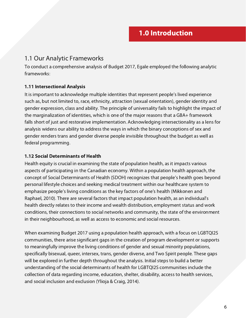#### 1.1 Our Analytic Frameworks

To conduct a comprehensive analysis of Budget 2017, Egale employed the following analytic frameworks:

#### 1.11 Intersectional Analysis

It is important to acknowledge multiple identities that represent people's lived experience such as, but not limited to, race, ethnicity, attraction (sexual orientation), gender identity and gender expression, class and ability. The principle of universality fails to highlight the impact of the marginalization of identities, which is one of the major reasons that a GBA+ framework falls short of just and restorative implementation. Acknowledging intersectionality as a lens for analysis widens our ability to address the ways in which the binary conceptions of sex and gender renders trans and gender diverse people invisible throughout the budget as well as federal programming.

#### 1.12 Social Determinants of Health

Health equity is crucial in examining the state of population health, as it impacts various aspects of participating in the Canadian economy. Within a population health approach, the concept of Social Determinants of Health (SDOH) recognizes that people's health goes beyond personal lifestyle choices and seeking medical treatment within our healthcare system to emphasize people's living conditions as the key factors of one's health (Mikkonen and Raphael, 2010). There are several factors that impact population health, as an individual's health directly relates to their income and wealth distribution, employment status and work conditions, their connections to social networks and community, the state of the environment in their neighbourhood, as well as access to economic and social resources.

When examining Budget 2017 using a population health approach, with a focus on LGBTQI2S communities, there arise significant gaps in the creation of program development or supports to meaningfully improve the living conditions of gender and sexual minority populations, specifically bisexual, queer, intersex, trans, gender diverse, and Two Spirit people. These gaps will be explored in further depth throughout the analysis. Initial steps to build a better understanding of the social determinants of health for LGBTQI2S communities include the collection of data regarding income, education, shelter, disability, access to health services, and social inclusion and exclusion (Ylioja & Craig, 2014).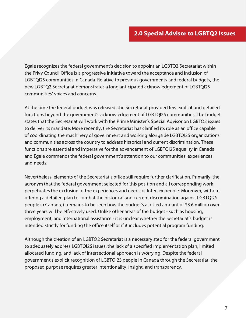Egale recognizes the federal government's decision to appoint an LGBTQ2 Secretariat within the Privy Council Office is a progressive initiative toward the acceptance and inclusion of LGBTQI2S communities in Canada. Relative to previous governments and federal budgets, the new LGBTQ2 Secretariat demonstrates a long anticipated acknowledgement of LGBTQI2S communities' voices and concerns.

At the time the federal budget was released, the Secretariat provided few explicit and detailed functions beyond the government's acknowledgement of LGBTQI2S communities. The budget states that the Secretariat will work with the Prime Minister's Special Advisor on LGBTQ2 issues to deliver its mandate. More recently, the Secretariat has clarified its role as an office capable of coordinating the machinery of government and working alongside LGBTQI2S organizations and communities across the country to address historical and current discrimination. These functions are essential and imperative for the advancement of LGBTQI2S equality in Canada, and Egale commends the federal government's attention to our communities' experiences and needs.

Nevertheless, elements of the Secretariat's office still require further clarification. Primarily, the acronym that the federal government selected for this position and all corresponding work perpetuates the exclusion of the experiences and needs of Intersex people. Moreover, without offering a detailed plan to combat the historical and current discrimination against LGBTQI2S people in Canada, it remains to be seen how the budget's allotted amount of \$3.6 million over three years will be effectively used. Unlike other areas of the budget - such as housing, employment, and international assistance - it is unclear whether the Secretariat's budget is intended strictly for funding the office itself or if it includes potential program funding.

Although the creation of an LGBTQ2 Secretariat is a necessary step for the federal government to adequately address LGBTQI2S issues, the lack of a specified implementation plan, limited allocated funding, and lack of intersectional approach is worrying. Despite the federal government's explicit recognition of LGBTQI2S people in Canada through the Secretariat, the proposed purpose requires greater intentionality, insight, and transparency.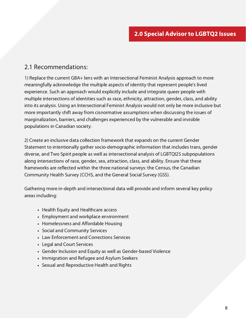#### 2.1 Recommendations:

1) Replace the current GBA+ lens with an Intersectional Feminist Analysis approach to more meaningfully acknowledge the multiple aspects of identity that represent people's lived experience. Such an approach would explicitly include and integrate queer people with multiple intersections of identities such as race, ethnicity, attraction, gender, class, and ability into its analysis. Using an Intersectional Feminist Analysis would not only be more inclusive but more importantly shift away from cisnormative assumptions when discussing the issues of marginalization, barriers, and challenges experienced by the vulnerable and invisible populations in Canadian society.

2) Create an inclusive data collection framework that expands on the current Gender Statement to intentionally gather socio-demographic information that includes trans, gender diverse, and Two Spirit people as well as intersectional analysis of LGBTQI2S subpopulations along intersections of race, gender, sex, attraction, class, and ability. Ensure that these frameworks are reflected within the three national surveys: the Census, the Canadian Community Health Survey (CCHS, and the General Social Survey (GSS).

Gathering more in-depth and intersectional data will provide and inform several key policy areas including:

- Health Equity and Healthcare access
- Employment and workplace environment
- Homelessness and Affordable Housing
- Social and Community Services
- Law Enforcement and Corrections Services
- Legal and Court Services
- Gender Inclusion and Equity as well as Gender-based Violence
- Immigration and Refugee and Asylum Seekers
- Sexual and Reproductive Health and Rights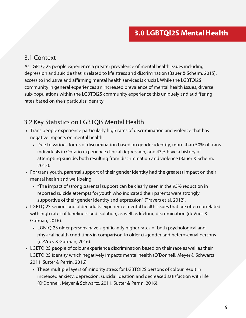#### 3.1 Context

As LGBTQI2S people experience a greater prevalence of mental health issues including depression and suicide that is related to life stress and discrimination (Bauer & Scheim, 2015), access to inclusive and affirming mental health services is crucial. While the LGBTQI2S community in general experiences an increased prevalence of mental health issues, diverse sub-populations within the LGBTQI2S community experience this uniquely and at differing rates based on their particular identity.

## 3.2 Key Statistics on LGBTQIS Mental Health

- Trans people experience particularly high rates of discrimination and violence that has negative impacts on mental health.
	- Due to various forms of discrimination based on gender identity, more than 50% of trans individuals in Ontario experience clinical depression, and 43% have a history of attempting suicide, both resulting from discrimination and violence (Bauer & Scheim, 2015).
- For trans youth, parental support of their gender identity had the greatest impact on their mental health and well-being
	- "The impact of strong parental support can be clearly seen in the 93% reduction in reported suicide attempts for youth who indicated their parents were strongly supportive of their gender identity and expression" (Travers et al, 2012).
- LGBTQI2S seniors and older adults experience mental health issues that are often correlated with high rates of loneliness and isolation, as well as lifelong discrimination (deVries & Gutman, 2016).
	- LGBTQI2S older persons have significantly higher rates of both psychological and physical health conditions in comparison to older cisgender and heterosexual persons (deVries & Gutman, 2016).
- LGBTQI2S people of colour experience discrimination based on their race as well as their LGBTQI2S identity which negatively impacts mental health (O'Donnell, Meyer & Schwartz, 2011; Sutter & Perrin, 2016).
	- These multiple layers of minority stress for LGBTQI2S persons of colour result in increased anxiety, depression, suicidal ideation and decreased satisfaction with life (O'Donnell, Meyer & Schwartz, 2011; Sutter & Perrin, 2016).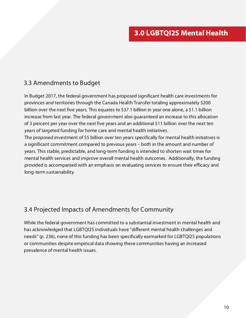## 3.3 Amendments to Budget

In Budget 2017, the federal government has proposed significant health care investments for provinces and territories through the Canada Health Transfer totaling approximately \$200 billion over the next five years. This equates to \$37.1 billion in year one alone, a \$1.1 billion increase from last year. The federal government also guaranteed an increase to this allocation of 3 percent per year over the next five years and an additional \$11 billion over the next ten years of targeted funding for home care and mental health initiatives.

The proposed investment of \$5 billion over ten years specifically for mental health initiatives is a significant commitment compared to previous years – both in the amount and number of years. This stable, predictable, and long-term funding is intended to shorten wait times for mental health services and improve overall mental health outcomes. Additionally, the funding provided is accompanied with an emphasis on evaluating services to ensure their efficacy and long-term sustainability.

## 3.4 Projected Impacts of Amendments for Community

While the federal government has committed to a substantial investment in mental health and has acknowledged that LGBTQI2S individuals have "different mental health challenges and needs" (p. 236), none of this funding has been specifically earmarked for LGBTQI2S populations or communities despite empirical data showing these communities having an increased prevalence of mental health issues.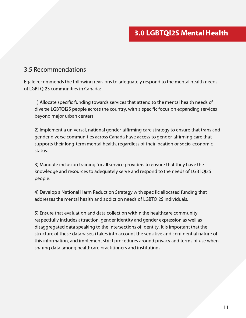#### 3.5 Recommendations

Egale recommends the following revisions to adequately respond to the mental health needs of LGBTQI2S communities in Canada:

1) Allocate specific funding towards services that attend to the mental health needs of diverse LGBTQI2S people across the country, with a specific focus on expanding services beyond major urban centers.

2) Implement a universal, national gender-affirming care strategy to ensure that trans and gender diverse communities across Canada have access to gender-affirming care that supports their long-term mental health, regardless of their location or socio-economic status.

3) Mandate inclusion training for all service providers to ensure that they have the knowledge and resources to adequately serve and respond to the needs of LGBTQI2S people.

4) Develop a National Harm Reduction Strategy with specific allocated funding that addresses the mental health and addiction needs of LGBTQI2S individuals.

5) Ensure that evaluation and data collection within the healthcare community respectfully includes attraction, gender identity and gender expression as well as disaggregated data speaking to the intersections of identity. It is important that the structure of these database(s) takes into account the sensitive and confidential nature of this information, and implement strict procedures around privacy and terms of use when sharing data among healthcare practitioners and institutions.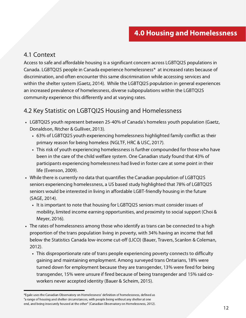#### 4.1 Context

Access to safe and affordable housing is a significant concern across LGBTQI2S populations in Canada. LGBTQI2S people in Canada experience homelessness\* at increased rates because of discrimination, and often encounter this same discrimination while accessing services and within the shelter system (Gaetz, 2014). While the LGBTQI2S population in general experiences an increased prevalence of homelessness, diverse subpopulations within the LGBTQI2S community experience this differently and at varying rates.

#### 4.2 Key Statistic on LGBTQI2S Housing and Homelessness

- LGBTQI2S youth represent between 25-40% of Canada's homeless youth population (Gaetz, Donaldson, Ritcher & Gulliver, 2013).
	- 63% of LGBTQI2S youth experiencing homelessness highlighted family conflict as their primary reason for being homeless (NGLTF, HRC & USC, 2017).
	- This risk of youth experiencing homelessness is further compounded for those who have been in the care of the child welfare system. One Canadian study found that 43% of participants experiencing homelessness had lived in foster care at some point in their life (Evenson, 2009).
- While there is currently no data that quantifies the Canadian population of LGBTQI2S seniors experiencing homelessness, a US based study highlighted that 78% of LGBTQI2S seniors would be interested in living in affordable LGBT-friendly housing in the future (SAGE, 2014).
	- It is important to note that housing for LGBTQI2S seniors must consider issues of mobility, limited income earning opportunities, and proximity to social support (Choi & Meyer, 2016).
- The rates of homelessness among those who identify as trans can be connected to a high proportion of the trans population living in poverty, with 34% having an income that fell below the Statistics Canada low-income cut-off (LICO) (Bauer, Travers, Scanlon & Coleman, 2012).
	- This disproportionate rate of trans people experiencing poverty connects to difficulty gaining and maintaining employment. Among surveyed trans Ontarians, 18% were turned down for employment because they are transgender, 13% were fired for being transgender, 15% were unsure if fired because of being transgender and 15% said coworkers never accepted identity (Bauer & Scheim, 2015).

<sup>\*</sup>Egale uses the Canadian Observatory on Homelessness' definition of homelessness, defined as "a range of housing and shelter circumstances, with people being without any shelter at one end, and being insecurely housed at the other" (Canadian Observatory on Homelessness, 2012).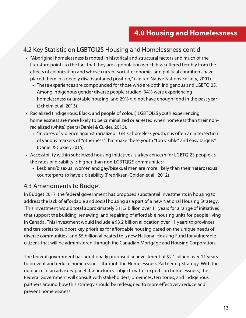## 4.0 Housing and Homelessness

#### 4.2 Key Statistic on LGBTQI2S Housing and Homelessness cont'd

- "Aboriginal homelessness is rooted in historical and structural factors and much of the literature points to the fact that they are a population which has suffered terribly from the effects of colonization and whose current social, economic, and political conditions have placed them in a deeply disadvantaged position," (United Native Nations Society, 2001).
	- These experiences are compounded for those who are both Indigenous and LGBTQI2S. Among Indigenous gender diverse people studied, 34% were experiencing homelessness or unstable housing, and 29% did not have enough food in the past year (Scheim et al, 2013).
- Racialized (Indigenous, Black, and people of colour) LGBTQI2S youth experiencing homelessness are more likely to be criminalized or arrested when homeless than their nonracialized (white) peers (Daniel & Cukier, 2015).
	- "In cases of violence against racialized LGBTQ homeless youth, it is often an intersection of various markers of "otherness" that make these youth "too visible" and easy targets" (Daniel & Cukier, 2015).
- Accessibility within subsidized housing initiatives is a key concern for LGBTQI2S people as the rates of disability is higher than non-LGBTQI2S communities:
	- Lesbians/bisexual women and gay/bisexual men are more likely than their heterosexual counterparts to have a disability (Fredriksen-Golden et al., 2012).

#### 4.3 Amendments to Budget

In Budget 2017, the federal government has proposed substantial investments in housing to address the lack of affordable and social housing as a part of a new National Housing Strategy. This investment would total approximately \$11.2 billion over 11 years for a range of initiatives that support the building, renewing, and repairing of affordable housing units for people living in Canada. This investment would include a \$3.2 billion allocation over 11 years to provinces and territories to support key priorities for affordable housing based on the unique needs of diverse communities, and \$5 billion allocated to a new National Housing Fund for vulnerable citizens that will be administered through the Canadian Mortgage and Housing Corporation.

The federal government has additionally proposed an investment of \$2.1 billion over 11 years to prevent and reduce homelessness through the Homelessness Partnering Strategy. With the guidance of an advisory panel that includes subject-matter experts on homelessness, the Federal Government will consult with stakeholders, provinces, territories, and Indigenous partners around how this strategy should be redesigned to more effectively reduce and prevent homelessness.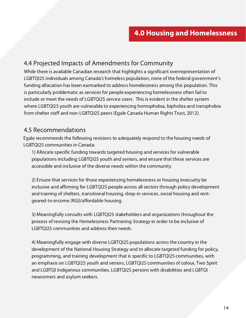#### 4.4 Projected Impacts of Amendments for Community

While there is available Canadian research that highlights a significant overrepresentation of LGBTQI2S individuals among Canada's homeless population, none of the federal government's funding allocation has been earmarked to address homelessness among this population. This is particularly problematic as services for people experiencing homelessness often fail to include or meet the needs of LGBTQI2S service users. This is evident in the shelter system where LGBTQI2S youth are vulnerable to experiencing homophobia, biphobia and transphobia from shelter staff and non-LGBTQI2S peers (Egale Canada Human Rights Trust, 2012).

#### 4.5 Recommendations

Egale recommends the following revisions to adequately respond to the housing needs of LGBTQI2S communities in Canada:

1) Allocate specific funding towards targeted housing and services for vulnerable populations including LGBTQI2S youth and seniors, and ensure that these services are accessible and inclusive of the diverse needs within the community.

2) Ensure that services for those experiencing homelessness or housing insecurity be inclusive and affirming for LGBTQI2S people across all sectors through policy development and training of shelters, transitional housing, drop-in services, social housing and rentgeared-to-income (RGI)/affordable housing.

3) Meaningfully consults with LGBTQI2S stakeholders and organizations throughout the process of revising the Homelessness Partnering Strategy in order to be inclusive of LGBTQI2S communities and address their needs.

4) Meaningfully engage with diverse LGBTQI2S populations across the country in the development of the National Housing Strategy and to allocate targeted funding for policy, programming, and training development that is specific to LGBTQI2S communities, with an emphasis on LGBTQI2S youth and seniors, LGBTQI2S communities of colour, Two Spirit and LGBTQI Indigenous communities, LGBTQI2S persons with disabilities and LGBTQI newcomers and asylum seekers.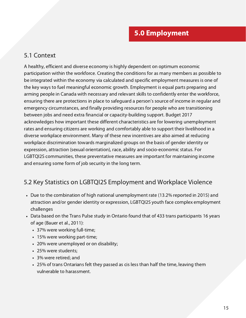#### 5.1 Context

A healthy, efficient and diverse economy is highly dependent on optimum economic participation within the workforce. Creating the conditions for as many members as possible to be integrated within the economy via calculated and specific employment measures is one of the key ways to fuel meaningful economic growth. Employment is equal parts preparing and arming people in Canada with necessary and relevant skills to confidently enter the workforce, ensuring there are protections in place to safeguard a person's source of income in regular and emergency circumstances, and finally providing resources for people who are transitioning between jobs and need extra financial or capacity-building support. Budget 2017 acknowledges how important these different characteristics are for lowering unemployment rates and ensuring citizens are working and comfortably able to support their livelihood in a diverse workplace environment. Many of these new incentives are also aimed at reducing workplace discrimination towards marginalized groups on the basis of gender identity or expression, attraction (sexual orientation), race, ability and socio-economic status. For LGBTQI2S communities, these preventative measures are important for maintaining income and ensuring some form of job security in the long term.

## 5.2 Key Statistics on LGBTQI2S Employment and Workplace Violence

- Due to the combination of high national unemployment rate (13.2% reported in 2015) and attraction and/or gender identity or expression, LGBTQI2S youth face complex employment challenges
- Data based on the Trans Pulse study in Ontario found that of 433 trans participants 16 years of age (Bauer et al., 2011):
	- 37% were working full-time;
	- 15% were working part-time;
	- 20% were unemployed or on disability;
	- 25% were students;
	- 3% were retired; and
	- 25% of trans Ontarians felt they passed as cis less than half the time, leaving them vulnerable to harassment.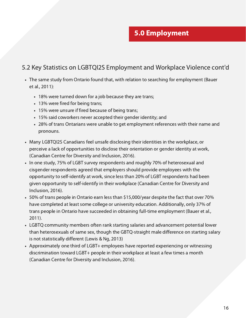# 5.0 Employment

#### 5.2 Key Statistics on LGBTQI2S Employment and Workplace Violence cont'd

- The same study from Ontario found that, with relation to searching for employment (Bauer et al., 2011):
	- 18% were turned down for a job because they are trans;
	- 13% were fired for being trans;
	- 15% were unsure if fired because of being trans;
	- 15% said coworkers never accepted their gender identity; and
	- 28% of trans Ontarians were unable to get employment references with their name and pronouns.
- Many LGBTQI2S Canadians feel unsafe disclosing their identities in the workplace, or perceive a lack of opportunities to disclose their orientation or gender identity at work, (Canadian Centre for Diversity and Inclusion, 2016).
- In one study, 75% of LGBT survey respondents and roughly 70% of heterosexual and cisgender respondents agreed that employers should provide employees with the opportunity to self-identify at work, since less than 20% of LGBT respondents had been given opportunity to self-identify in their workplace (Canadian Centre for Diversity and Inclusion, 2016).
- 50% of trans people in Ontario earn less than \$15,000/year despite the fact that over 70% have completed at least some college or university education. Additionally, only 37% of trans people in Ontario have succeeded in obtaining full-time employment (Bauer et al., 2011).
- LGBTQ community members often rank starting salaries and advancement potential lower than heterosexuals of same sex, though the GBTQ-straight male difference on starting salary is not statistically different (Lewis & Ng, 2013)
- Approximately one third of LGBT+ employees have reported experiencing or witnessing discrimination toward LGBT+ people in their workplace at least a few times a month (Canadian Centre for Diversity and Inclusion, 2016).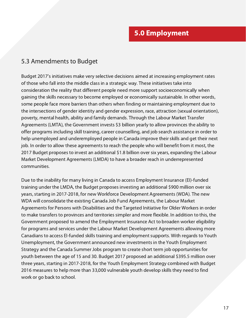#### 5.3 Amendments to Budget

Budget 2017's initiatives make very selective decisions aimed at increasing employment rates of those who fall into the middle class in a strategic way. These initiatives take into consideration the reality that different people need more support socioeconomically when gaining the skills necessary to become employed or economically sustainable. In other words, some people face more barriers than others when finding or maintaining employment due to the intersections of gender identity and gender expression, race, attraction (sexual orientation), poverty, mental health, ability and family demands. Through the Labour Market Transfer Agreements (LMTA), the Government invests \$3 billion yearly to allow provinces the ability to offer programs including skill training, career counselling, and job search assistance in order to help unemployed and underemployed people in Canada improve their skills and get their next job. In order to allow these agreements to reach the people who will benefit from it most, the 2017 Budget proposes to invest an additional \$1.8 billion over six years, expanding the Labour Market Development Agreements (LMDA) to have a broader reach in underrepresented communities.

Due to the inability for many living in Canada to access Employment Insurance (EI)-funded training under the LMDA, the Budget proposes investing an additional \$900 million over six years, starting in 2017-2018, for new Workforce Development Agreements (WDA). The new WDA will consolidate the existing Canada Job Fund Agreements, the Labour Market Agreements for Persons with Disabilities and the Targeted Initiative for Older Workers in order to make transfers to provinces and territories simpler and more flexible. In addition to this, the Government proposed to amend the Employment Insurance Act to broaden worker eligibility for programs and services under the Labour Market Development Agreements allowing more Canadians to access EI-funded skills training and employment supports. With regards to Youth Unemployment, the Government announced new investments in the Youth Employment Strategy and the Canada Summer Jobs program to create short term job opportunities for youth between the age of 15 and 30. Budget 2017 proposed an additional \$395.5 million over three years, starting in 2017-2018, for the Youth Employment Strategy combined with Budget 2016 measures to help more than 33,000 vulnerable youth develop skills they need to find work or go back to school.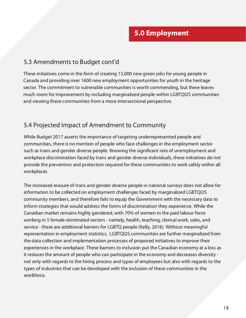#### 5.3 Amendments to Budget cont'd

These initiatives come in the form of creating 15,000 new green jobs for young people in Canada and providing over 1600 new employment opportunities for youth in the heritage sector. The commitment to vulnerable communities is worth commending, but there leaves much room for improvement by including marginalized people within LGBTQI2S communities and viewing these communities from a more intersectional perspective.

#### 5.4 Projected Impact of Amendment to Community

While Budget 2017 asserts the importance of targeting underrepresented people and communities, there is no mention of people who face challenges in the employment sector such as trans and gender diverse people. Knowing the significant rate of unemployment and workplace discrimination faced by trans and gender diverse individuals, these initiatives do not provide the prevention and protection required for these communities to work safely within all workplaces.

The increased erasure of trans and gender diverse people in national surveys does not allow for information to be collected on employment challenges faced by marginalized LGBTQI2S community members, and therefore fails to equip the Government with the necessary data to inform strategies that would address the forms of discrimination they experience. While the Canadian market remains highly gendered, with 70% of women in the paid labour force working in 5 female-dominated sectors - namely, health, teaching, clerical work, sales, and service - there are additional barriers for LGBTQ people (Kelly, 2016). Without meaningful representation in employment statistics, LGBTQI2S communities are further marginalized from the data collection and implementation processes of proposed initiatives to improve their experiences in the workplace. These barriers to inclusion put the Canadian economy at a loss as it reduces the amount of people who can participate in the economy and decreases diversity not only with regards to the hiring process and types of employees but also with regards to the types of industries that can be developed with the inclusion of these communities in the workforce.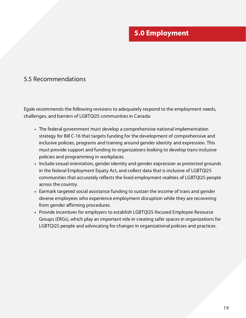# 5.0 Employment

#### 5.5 Recommendations

Egale recommends the following revisions to adequately respond to the employment needs, challenges, and barriers of LGBTQI2S communities in Canada:

- The federal government must develop a comprehensive national implementation strategy for Bill C-16 that targets funding for the development of comprehensive and inclusive policies, programs and training around gender identity and expression. This must provide support and funding to organizations looking to develop trans inclusive policies and programming in workplaces.
- Include sexual orientation, gender identity and gender expression as protected grounds in the federal Employment Equity Act, and collect data that is inclusive of LGBTQI2S communities that accurately reflects the lived employment realities of LGBTQI2S people across the country.
- Earmark targeted social assistance funding to sustain the income of trans and gender diverse employees who experience employment disruption while they are recovering from gender affirming procedures.
- Provide incentives for employers to establish LGBTQI2S-focused Employee Resource Groups (ERGs), which play an important role in creating safer spaces in organizations for LGBTQI2S people and advocating for changes in organizational policies and practices.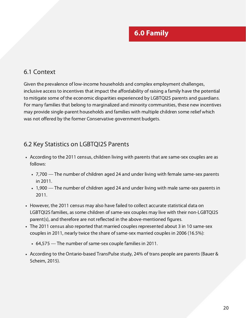#### 6.1 Context

Given the prevalence of low-income households and complex employment challenges, inclusive access to incentives that impact the affordability of raising a family have the potential to mitigate some of the economic disparities experienced by LGBTQI2S parents and guardians. For many families that belong to marginalized and minority communities, these new incentives may provide single-parent households and families with multiple children some relief which was not offered by the former Conservative government budgets.

#### 6.2 Key Statistics on LGBTQI2S Parents

- According to the 2011 census, children living with parents that are same-sex couples are as follows:
	- 7,700 The number of children aged 24 and under living with female same-sex parents in 2011.
	- 1,900 The number of children aged 24 and under living with male same-sex parents in 2011.
- However, the 2011 census may also have failed to collect accurate statistical data on LGBTQI2S families, as some children of same-sex couples may live with their non-LGBTQI2S parent(s), and therefore are not reflected in the above-mentioned figures.
- The 2011 census also reported that married couples represented about 3 in 10 same-sex couples in 2011, nearly twice the share of same-sex married couples in 2006 (16.5%):
	- 64,575 The number of same-sex couple families in 2011.
- According to the Ontario-based TransPulse study, 24% of trans people are parents (Bauer & Scheim, 2015).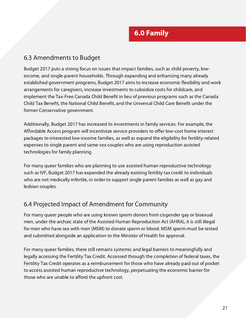#### 6.3 Amendments to Budget

Budget 2017 puts a strong focus on issues that impact families, such as child poverty, lowincome, and single-parent households. Through expanding and enhancing many already established government programs, Budget 2017 aims to increase economic flexibility and work arrangements for caregivers, increase investments to subsidize costs for childcare, and implement the Tax-Free Canada Child Benefit in lieu of previous programs such as the Canada Child Tax Benefit, the National Child Benefit, and the Universal Child Care Benefit under the former Conservative government.

Additionally, Budget 2017 has increased its investments in family services. For example, the Affordable Access program will incentivize service providers to offer low-cost home interest packages to interested low-income families, as well as expand the eligibility for fertility-related expenses to single parent and same-sex couples who are using reproduction assisted technologies for family planning.

For many queer families who are planning to use assisted human reproductive technology such as IVF, Budget 2017 has expanded the already existing fertility tax credit to individuals who are not medically infertile, in order to support single parent families as well as gay and lesbian couples.

## 6.4 Projected Impact of Amendment for Community

For many queer people who are using known sperm donors from cisgender gay or bisexual men, under the archaic state of the Assisted Human Reproduction Act (AHRA), it is still illegal for men who have sex with men (MSM) to donate sperm or blood. MSM sperm must be tested and submitted alongside an application to the Minister of Health for approval.

For many queer families, there still remains systemic and legal barriers to meaningfully and legally accessing the Fertility Tax Credit. Accessed through the completion of federal taxes, the Fertility Tax Credit operates as a reimbursement for those who have already paid out of pocket to access assisted human reproductive technology, perpetuating the economic barrier for those who are unable to afford the upfront cost.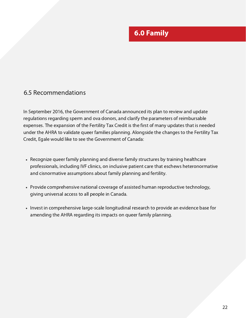# 6.0 Family

#### 6.5 Recommendations

In September 2016, the Government of Canada announced its plan to review and update regulations regarding sperm and ova donors, and clarify the parameters of reimbursable expenses. The expansion of the Fertility Tax Credit is the first of many updates that is needed under the AHRA to validate queer families planning. Alongside the changes to the Fertility Tax Credit, Egale would like to see the Government of Canada:

- Recognize queer family planning and diverse family structures by training healthcare professionals, including IVF clinics, on inclusive patient care that eschews heteronormative and cisnormative assumptions about family planning and fertility.
- Provide comprehensive national coverage of assisted human reproductive technology, giving universal access to all people in Canada.
- Invest in comprehensive large-scale longitudinal research to provide an evidence base for amending the AHRA regarding its impacts on queer family planning.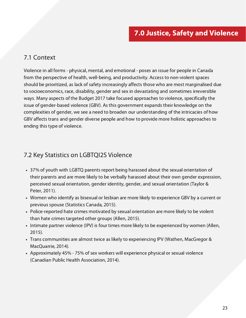#### 7.1 Context

Violence in all forms - physical, mental, and emotional - poses an issue for people in Canada from the perspective of health, well-being, and productivity. Access to non-violent spaces should be prioritized, as lack of safety increasingly affects those who are most marginalised due to socioeconomics, race, disability, gender and sex in devastating and sometimes irreversible ways. Many aspects of the Budget 2017 take focused approaches to violence, specifically the issue of gender-based violence (GBV). As this government expands their knowledge on the complexities of gender, we see a need to broaden our understanding of the intricacies of how GBV affects trans and gender diverse people and how to provide more holistic approaches to ending this type of violence.

#### 7.2 Key Statistics on LGBTQI2S Violence

- 37% of youth with LGBTQ parents report being harassed about the sexual orientation of their parents and are more likely to be verbally harassed about their own gender expression, perceived sexual orientation, gender identity, gender, and sexual orientation (Taylor & Peter, 2011).
- Women who identify as bisexual or lesbian are more likely to experience GBV by a current or previous spouse (Statistics Canada, 2015).
- Police-reported hate crimes motivated by sexual orientation are more likely to be violent than hate crimes targeted other groups (Allen, 2015).
- Intimate partner violence (IPV) is four times more likely to be experienced by women (Allen, 2015).
- Trans communities are almost twice as likely to experiencing IPV (Wathen, MacGregor & MacQuarrie, 2014).
- Approximately 45% 75% of sex workers will experience physical or sexual violence (Canadian Public Health Association, 2014).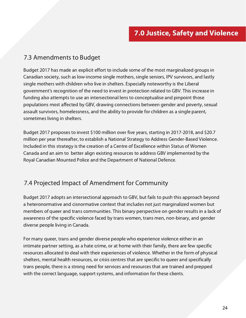#### 7.3 Amendments to Budget

Budget 2017 has made an explicit effort to include some of the most marginalized groups in Canadian society, such as low-income single mothers, single seniors, IPV survivors, and lastly single mothers with children who live in shelters. Especially noteworthy is the Liberal government's recognition of the need to invest in protection related to GBV. This increase in funding also attempts to use an intersectional lens to conceptualise and pinpoint those populations most affected by GBV, drawing connections between gender and poverty, sexual assault survivors, homelessness, and the ability to provide for children as a single parent, sometimes living in shelters.

Budget 2017 proposes to invest \$100 million over five years, starting in 2017-2018, and \$20.7 million per year thereafter, to establish a National Strategy to Address Gender-Based Violence. Included in this strategy is the creation of a Centre of Excellence within Status of Women Canada and an aim to better align existing resources to address GBV implemented by the Royal Canadian Mounted Police and the Department of National Defence.

#### 7.4 Projected Impact of Amendment for Community

Budget 2017 adopts an intersectional approach to GBV, but fails to push this approach beyond a heteronormative and cisnormative context that includes not just marginalized women but members of queer and trans communities. This binary perspective on gender results in a lack of awareness of the specific violence faced by trans women, trans men, non-binary, and gender diverse people living in Canada.

For many queer, trans and gender diverse people who experience violence either in an intimate partner setting, as a hate crime, or at home with their family, there are few specific resources allocated to deal with their experiences of violence. Whether in the form of physical shelters, mental health resources, or crisis centres that are specific to queer and specifically trans people, there is a strong need for services and resources that are trained and prepped with the correct language, support systems, and information for these clients.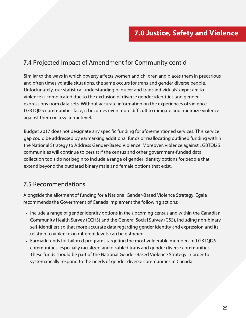#### 7.4 Projected Impact of Amendment for Community cont'd

Similar to the ways in which poverty affects women and children and places them in precarious and often times volatile situations, the same occurs for trans and gender diverse people. Unfortunately, our statistical understanding of queer and trans individuals' exposure to violence is complicated due to the exclusion of diverse gender identities and gender expressions from data sets. Without accurate information on the experiences of violence LGBTQI2S communities face, it becomes even more difficult to mitigate and minimize violence against them on a systemic level.

Budget 2017 does not designate any specific funding for aforementioned services. This service gap could be addressed by earmarking additional funds or reallocating outlined funding within the National Strategy to Address Gender-Based Violence. Moreover, violence against LGBTQI2S communities will continue to persist if the census and other government-funded data collection tools do not begin to include a range of gender identity options for people that extend beyond the outdated binary male and female options that exist.

#### 7.5 Recommendations

Alongside the allotment of funding for a National Gender-Based Violence Strategy, Egale recommends the Government of Canada implement the following actions:

- Include a range of gender identity options in the upcoming census and within the Canadian Community Health Survey (CCHS) and the General Social Survey (GSS), including non-binary self-identifiers so that more accurate data regarding gender identity and expression and its relation to violence on different levels can be gathered.
- Earmark funds for tailored programs targeting the most vulnerable members of LGBTQI2S communities, especially racialized and disabled trans and gender diverse communities. These funds should be part of the National Gender-Based Violence Strategy in order to systematically respond to the needs of gender diverse communities in Canada.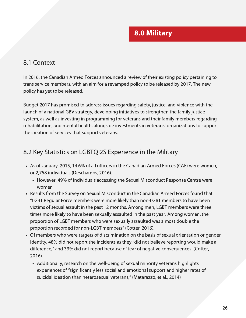#### 8.1 Context

In 2016, the Canadian Armed Forces announced a review of their existing policy pertaining to trans service members, with an aim for a revamped policy to be released by 2017. The new policy has yet to be released.

Budget 2017 has promised to address issues regarding safety, justice, and violence with the launch of a national GBV strategy, developing initiatives to strengthen the family justice system, as well as investing in programming for veterans and their family members regarding rehabilitation, and mental health, alongside investments in veterans' organizations to support the creation of services that support veterans.

#### 8.2 Key Statistics on LGBTQI2S Experience in the Military

- As of January, 2015, 14.6% of all officers in the Canadian Armed Forces (CAF) were women, or 2,758 individuals (Deschamps, 2016).
	- However, 49% of individuals accessing the Sexual Misconduct Response Centre were women
- Results from the Survey on Sexual Misconduct in the Canadian Armed Forces found that "LGBT Regular Force members were more likely than non-LGBT members to have been victims of sexual assault in the past 12 months. Among men, LGBT members were three times more likely to have been sexually assaulted in the past year. Among women, the proportion of LGBT members who were sexually assaulted was almost double the proportion recorded for non-LGBT members" (Cotter, 2016).
- Of members who were targets of discrimination on the basis of sexual orientation or gender identity, 48% did not report the incidents as they "did not believe reporting would make a difference," and 33% did not report because of fear of negative consequences (Cotter, 2016).
	- Additionally, research on the well-being of sexual minority veterans highlights experiences of "significantly less social and emotional support and higher rates of suicidal ideation than heterosexual veterans," (Matarazzo, et al., 2014)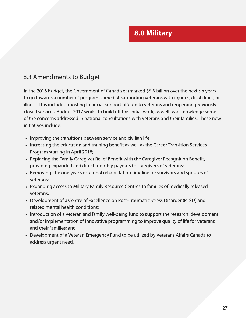#### 8.3 Amendments to Budget

In the 2016 Budget, the Government of Canada earmarked \$5.6 billion over the next six years to go towards a number of programs aimed at supporting veterans with injuries, disabilities, or illness. This includes boosting financial support offered to veterans and reopening previously closed services. Budget 2017 works to build off this initial work, as well as acknowledge some of the concerns addressed in national consultations with veterans and their families. These new initiatives include:

- Improving the transitions between service and civilian life;
- Increasing the education and training benefit as well as the Career Transition Services Program starting in April 2018;
- Replacing the Family Caregiver Relief Benefit with the Caregiver Recognition Benefit, providing expanded and direct monthly payouts to caregivers of veterans;
- Removing the one year vocational rehabilitation timeline for survivors and spouses of veterans;
- Expanding access to Military Family Resource Centres to families of medically released veterans;
- Development of a Centre of Excellence on Post-Traumatic Stress Disorder (PTSD) and related mental health conditions;
- Introduction of a veteran and family well-being fund to support the research, development, and/or implementation of innovative programming to improve quality of life for veterans and their families; and
- Development of a Veteran Emergency Fund to be utilized by Veterans Affairs Canada to address urgent need.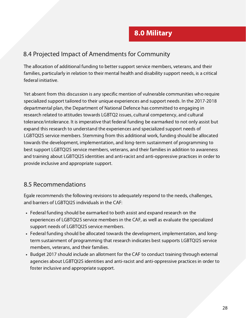#### 8.4 Projected Impact of Amendments for Community

The allocation of additional funding to better support service members, veterans, and their families, particularly in relation to their mental health and disability support needs, is a critical federal initiative.

Yet absent from this discussion is any specific mention of vulnerable communities who require specialized support tailored to their unique experiences and support needs. In the 2017-2018 departmental plan, the Department of National Defence has committed to engaging in research related to attitudes towards LGBTQ2 issues, cultural competency, and cultural tolerance/intolerance. It is imperative that federal funding be earmarked to not only assist but expand this research to understand the experiences and specialized support needs of LGBTQI2S service members. Stemming from this additional work, funding should be allocated towards the development, implementation, and long-term sustainment of programming to best support LGBTQI2S service members, veterans, and their families in addition to awareness and training about LGBTQI2S identities and anti-racist and anti-oppressive practices in order to provide inclusive and appropriate support.

#### 8.5 Recommendations

Egale recommends the following revisions to adequately respond to the needs, challenges, and barriers of LGBTQI2S individuals in the CAF:

- Federal funding should be earmarked to both assist and expand research on the experiences of LGBTQI2S service members in the CAF, as well as evaluate the specialized support needs of LGBTQI2S service members.
- Federal funding should be allocated towards the development, implementation, and longterm sustainment of programming that research indicates best supports LGBTQI2S service members, veterans, and their families.
- Budget 2017 should include an allotment for the CAF to conduct training through external agencies about LGBTQI2S identities and anti-racist and anti-oppressive practices in order to foster inclusive and appropriate support.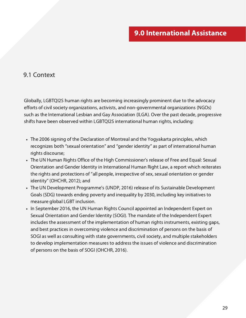#### 9.1 Context

Globally, LGBTQI2S human rights are becoming increasingly prominent due to the advocacy efforts of civil society organizations, activists, and non-governmental organizations (NGOs) such as the International Lesbian and Gay Association (ILGA). Over the past decade, progressive shifts have been observed within LGBTQI2S international human rights, including:

- The 2006 signing of the Declaration of Montreal and the Yogyakarta principles, which recognizes both "sexual orientation" and "gender identity" as part of international human rights discourse;
- The UN Human Rights Office of the High Commissioner's release of Free and Equal: Sexual Orientation and Gender Identity in International Human Right Law, a report which reiterates the rights and protections of "all people, irrespective of sex, sexual orientation or gender identity" (OHCHR, 2012); and
- The UN Development Programme's (UNDP, 2016) release of its Sustainable Development Goals (SDG) towards ending poverty and inequality by 2030, including key initiatives to measure global LGBT inclusion.
- In September 2016, the UN Human Rights Council appointed an Independent Expert on Sexual Orientation and Gender Identity (SOGI). The mandate of the Independent Expert includes the assessment of the implementation of human rights instruments, existing gaps, and best practices in overcoming violence and discrimination of persons on the basis of SOGI as well as consulting with state governments, civil society, and multiple stakeholders to develop implementation measures to address the issues of violence and discrimination of persons on the basis of SOGI (OHCHR, 2016).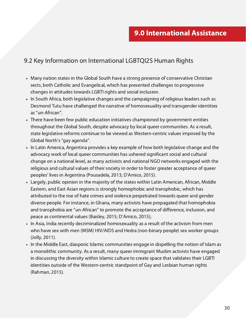#### 9.2 Key Information on International LGBTQI2S Human Rights

- Many nation states in the Global South have a strong presence of conservative Christian sects, both Catholic and Evangelical, which has presented challenges to progressive changes in attitudes towards LGBTI rights and social inclusion.
- In South Africa, both legislative changes and the campaigning of religious leaders such as Desmond Tutu have challenged the narrative of homosexuality and transgender identities as "un-African".
- There have been few public education initiatives championed by government entities throughout the Global South, despite advocacy by local queer communities. As a result, state legislative reforms continue to be viewed as Western-centric values imposed by the Global North's "gay agenda".
- In Latin America, Argentina provides a key example of how both legislative change and the advocacy work of local queer communities has ushered significant social and cultural change on a national level, as many activists and national NGO networks engaged with the religious and cultural values of their society in order to foster greater acceptance of queer peoples' lives in Argentina (Pousadela, 2013; D'Amico, 2015).
- Largely, public opinion in the majority of the states within Latin American, African, Middle Eastern, and East Asian regions is strongly homophobic and transphobic, which has attributed to the rise of hate crimes and violence perpetrated towards queer and gender diverse people. For instance, in Ghana, many activists have propagated that homophobia and transphobia are "un-African" to promote the acceptance of difference, inclusion, and peace as continental values (Baisley, 2015; D'Amico, 2015);
- In Asia, India recently decriminalized homosexuality as a result of the activism from men who have sex with men (MSM) HIV/AIDS and Hedra (non-binary people) sex worker groups (Jolly, 2011).
- In the Middle East, diasporic Islamic communities engage in dispelling the notion of Islam as a monolithic community. As a result, many queer immigrant Muslim activists have engaged in discussing the diversity within Islamic culture to create space that validates their LGBTI identities outside of the Western-centric standpoint of Gay and Lesbian human rights (Rahman, 2015).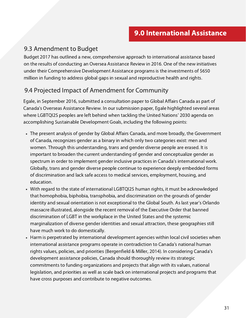#### 9.3 Amendment to Budget

Budget 2017 has outlined a new, comprehensive approach to international assistance based on the results of conducting an Oversea Assistance Review in 2016. One of the new initiatives under their Comprehensive Development Assistance programs is the investments of \$650 million in funding to address global gaps in sexual and reproductive health and rights.

#### 9.4 Projected Impact of Amendment for Community

Egale, in September 2016, submitted a consultation paper to Global Affairs Canada as part of Canada's Overseas Assistance Review. In our submission paper, Egale highlighted several areas where LGBTQI2S peoples are left behind when tackling the United Nations' 2030 agenda on accomplishing Sustainable Development Goals, including the following points:

- The present analysis of gender by Global Affairs Canada, and more broadly, the Government of Canada, recognizes gender as a binary in which only two categories exist: men and women. Through this understanding, trans and gender diverse people are erased. It is important to broaden the current understanding of gender and conceptualize gender as spectrum in order to implement gender inclusive practices in Canada's international work. Globally, trans and gender diverse people continue to experience deeply embedded forms of discrimination and lack safe access to medical services, employment, housing, and education.
- With regard to the state of international LGBTQI2S human rights, it must be acknowledged that homophobia, biphobia, transphobia, and discrimination on the grounds of gender identity and sexual orientation is not exceptional to the Global South. As last year's Orlando massacre illustrated, alongside the recent removal of the Executive Order that banned discrimination of LGBT in the workplace in the United States and the systemic marginalization of diverse gender identities and sexual attraction, these geographies still have much work to do domestically.
- Harm is perpetrated by international development agencies within local civil societies when international assistance programs operate in contradiction to Canada's national human rights values, policies, and priorities (Bergenfield & Miller, 2014). In considering Canada's development assistance policies, Canada should thoroughly review its strategic commitments to funding organizations and projects that align with its values, national legislation, and priorities as well as scale back on international projects and programs that have cross purposes and contribute to negative outcomes.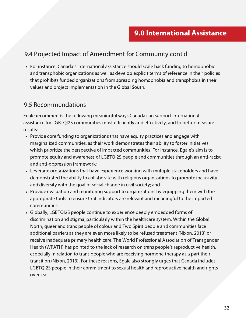#### 9.4 Projected Impact of Amendment for Community cont'd

For instance, Canada's international assistance should scale back funding to homophobic and transphobic organizations as well as develop explicit terms of reference in their policies that prohibits funded organizations from spreading homophobia and transphobia in their values and project implementation in the Global South.

#### 9.5 Recommendations

Egale recommends the following meaningful ways Canada can support international assistance for LGBTQI2S communities most efficiently and effectively, and to better measure results:

- Provide core funding to organizations that have equity practices and engage with marginalized communities, as their work demonstrates their ability to foster initiatives which prioritize the perspective of impacted communities. For instance, Egale's aim is to promote equity and awareness of LGBTQI2S people and communities through an anti-racist and anti-oppression framework;
- Leverage organizations that have experience working with multiple stakeholders and have demonstrated the ability to collaborate with religious organizations to promote inclusivity and diversity with the goal of social change in civil society; and
- Provide evaluation and monitoring support to organizations by equipping them with the appropriate tools to ensure that indicators are relevant and meaningful to the impacted communities.
- Globally, LGBTQI2S people continue to experience deeply embedded forms of discrimination and stigma, particularly within the healthcare system. Within the Global North, queer and trans people of colour and Two Spirit people and communities face additional barriers as they are even more likely to be refused treatment (Nixon, 2013) or receive inadequate primary health care. The World Professional Association of Transgender Health (WPATH) has pointed to the lack of research on trans people's reproductive health, especially in relation to trans people who are receiving hormone therapy as a part their transition (Nixon, 2013). For these reasons, Egale also strongly urges that Canada includes LGBTQI2S people in their commitment to sexual health and reproductive health and rights overseas.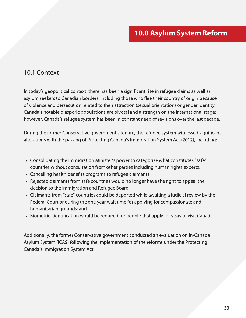#### 10.1 Context

In today's geopolitical context, there has been a significant rise in refugee claims as well as asylum seekers to Canadian borders, including those who flee their country of origin because of violence and persecution related to their attraction (sexual orientation) or gender identity. Canada's notable diasporic populations are pivotal and a strength on the international stage; however, Canada's refugee system has been in constant need of revisions over the last decade.

During the former Conservative government's tenure, the refugee system witnessed significant alterations with the passing of Protecting Canada's Immigration System Act (2012), including:

- Consolidating the Immigration Minister's power to categorize what constitutes "safe" countries without consultation from other parties including human rights experts;
- Cancelling health benefits programs to refugee claimants;
- Rejected claimants from safe countries would no longer have the right to appeal the decision to the Immigration and Refugee Board;
- Claimants from "safe" countries could be deported while awaiting a judicial review by the Federal Court or during the one year wait time for applying for compassionate and humanitarian grounds; and
- Biometric identification would be required for people that apply for visas to visit Canada.

Additionally, the former Conservative government conducted an evaluation on In-Canada Asylum System (ICAS) following the implementation of the reforms under the Protecting Canada's Immigration System Act.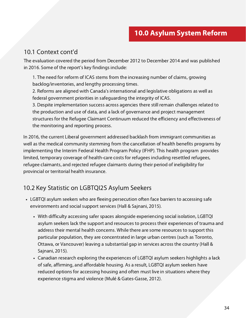#### 10.1 Context cont'd

The evaluation covered the period from December 2012 to December 2014 and was published in 2016. Some of the report's key findings include:

1. The need for reform of ICAS stems from the increasing number of claims, growing backlog/inventories, and lengthy processing times.

2. Reforms are aligned with Canada's international and legislative obligations as well as federal government priorities in safeguarding the integrity of ICAS.

3. Despite implementation success across agencies there still remain challenges related to the production and use of data, and a lack of governance and project management structures for the Refugee Claimant Continuum reduced the efficiency and effectiveness of the monitoring and reporting process.

In 2016, the current Liberal government addressed backlash from immigrant communities as well as the medical community stemming from the cancellation of health benefits programs by implementing the Interim Federal Health Program Policy (IFHP). This health program provides limited, temporary coverage of health-care costs for refugees including resettled refugees, refugee claimants, and rejected refugee claimants during their period of ineligibility for provincial or territorial health insurance.

## 10.2 Key Statistic on LGBTQI2S Asylum Seekers

- LGBTQI asylum seekers who are fleeing persecution often face barriers to accessing safe environments and social support services (Hall & Sajnani, 2015).
	- With difficulty accessing safer spaces alongside experiencing social isolation, LGBTQI asylum seekers lack the support and resources to process their experiences of trauma and address their mental health concerns. While there are some resources to support this particular population, they are concentrated in large urban centres (such as Toronto, Ottawa, or Vancouver) leaving a substantial gap in services across the country (Hall & Sajnani, 2015).
	- Canadian research exploring the experiences of LGBTQI asylum seekers highlights a lack of safe, affirming, and affordable housing. As a result, LGBTQI asylum seekers have reduced options for accessing housing and often must live in situations where they experience stigma and violence (Mulé & Gates-Gasse, 2012).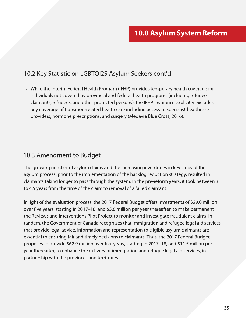#### 10.2 Key Statistic on LGBTQI2S Asylum Seekers cont'd

While the Interim Federal Health Program (IFHP) provides temporary health coverage for individuals not covered by provincial and federal health programs (including refugee claimants, refugees, and other protected persons), the IFHP insurance explicitly excludes any coverage of transition-related health care including access to specialist healthcare providers, hormone prescriptions, and surgery (Medavie Blue Cross, 2016).

#### 10.3 Amendment to Budget

The growing number of asylum claims and the increasing inventories in key steps of the asylum process, prior to the implementation of the backlog reduction strategy, resulted in claimants taking longer to pass through the system. In the pre-reform years, it took between 3 to 4.5 years from the time of the claim to removal of a failed claimant.

In light of the evaluation process, the 2017 Federal Budget offers investments of \$29.0 million over five years, starting in 2017–18, and \$5.8 million per year thereafter, to make permanent the Reviews and Interventions Pilot Project to monitor and investigate fraudulent claims. In tandem, the Government of Canada recognizes that immigration and refugee legal aid services that provide legal advice, information and representation to eligible asylum claimants are essential to ensuring fair and timely decisions to claimants. Thus, the 2017 Federal Budget proposes to provide \$62.9 million over five years, starting in 2017–18, and \$11.5 million per year thereafter, to enhance the delivery of immigration and refugee legal aid services, in partnership with the provinces and territories.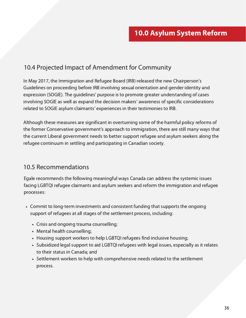## 10.4 Projected Impact of Amendment for Community

In May 2017, the Immigration and Refugee Board (IRB) released the new Chairperson's Guidelines on proceeding before IRB involving sexual orientation and gender identity and expression (SOGIE). The guidelines' purpose is to promote greater understanding of cases involving SOGIE as well as expand the decision makers' awareness of specific considerations related to SOGIE asylum claimants' experiences in their testimonies to IRB.

Although these measures are significant in overturning some of the harmful policy reforms of the former Conservative government's approach to immigration, there are still many ways that the current Liberal government needs to better support refugee and asylum seekers along the refugee continuum in settling and participating in Canadian society.

#### 10.5 Recommendations

Egale recommends the following meaningful ways Canada can address the systemic issues facing LGBTQI refugee claimants and asylum seekers and reform the immigration and refugee processes:

- Commit to long-term investments and consistent funding that supports the ongoing support of refugees at all stages of the settlement process, including:
	- Crisis and ongoing trauma counselling;
	- Mental health counselling;
	- Housing support workers to help LGBTQI refugees find inclusive housing;
	- Subsidized legal support to aid LGBTQI refugees with legal issues, especially as it relates to their status in Canada; and
	- Settlement workers to help with comprehensive needs related to the settlement process.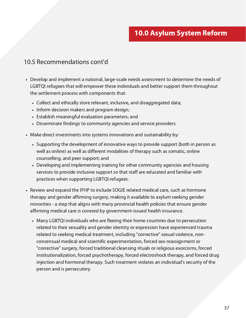#### 10.5 Recommendations cont'd

- Develop and implement a national, large-scale needs assessment to determine the needs of LGBTQI refugees that will empower these individuals and better support them throughout the settlement process with components that:
	- Collect and ethically store relevant, inclusive, and disaggregated data;
	- Inform decision makers and program design;
	- Establish meaningful evaluation parameters; and
	- Disseminate findings to community agencies and service providers.
- Make direct investments into systems innovations and sustainability by:
	- Supporting the development of innovative ways to provide support (both in person as well as online) as well as different modalities of therapy such as somatic, online counselling, and peer support; and
	- Developing and implementing training for other community agencies and housing services to provide inclusive support so that staff are educated and familiar with practices when supporting LGBTQI refugees.
- Review and expand the IFHP to include SOGIE related medical care, such as hormone therapy and gender affirming surgery, making it available to asylum seeking gender minorities - a step that aligns with many provincial health policies that ensure gender affirming medical care is covered by government-issued health insurance.
	- Many LGBTQI individuals who are fleeing their home countries due to persecution related to their sexuality and gender identity or expression have experienced trauma related to seeking medical treatment, including "corrective" sexual violence, nonconsensual medical and scientific experimentation, forced sex-reassignment or "corrective" surgery, forced traditional cleansing rituals or religious exorcisms, forced institutionalization, forced psychotherapy, forced electroshock therapy, and forced drug injection and hormonal therapy. Such treatment violates an individual's security of the person and is persecutory.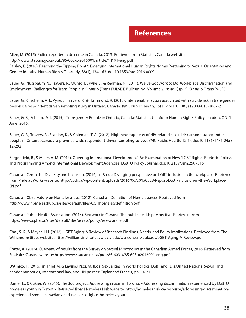Allen, M. (2015). Police-reported hate crime in Canada, 2013. Retrieved from Statistics Canada website: http://www.statcan.gc.ca/pub/85-002-x/2015001/article/14191-eng.pdf Baisley, E. (2016). Reaching the Tipping Point?: Emerging International Human Rights Norms Pertaining to Sexual Orientation and Gender Identity. Human Rights Quarterly, 38(1), 134-163. doi:10.1353/hrq.2016.0009

Bauer, G., Nussbaum, N., Travers, R., Munro, L., Pyne, J., & Redman, N. (2011). We've Got Work to Do: Workplace Discrimination and Employment Challenges for Trans People in Ontario (Trans PULSE E-Bulletin No. Volume 2, Issue 1) (p. 3). Ontario: Trans PULSE

Bauer, G. R., Scheim, A. I., Pyne, J., Travers, R., & Hammond, R. (2015). Intervenable factors associated with suicide risk in transgender persons: a respondent driven sampling study in Ontario, Canada. BMC Public Health, 15(1). doi:10.1186/s12889-015-1867-2

Bauer, G. R., Scheim, A. I. (2015). Transgender People in Ontario, Canada: Statistics to Inform Human Rights Policy. London, ON. 1 June 2015.

Bauer, G. R., Travers, R., Scanlon, K., & Coleman, T. A. (2012). High heterogeneity of HIV-related sexual risk among transgender people in Ontario, Canada: a province-wide respondent-driven sampling survey. BMC Public Health, 12(1). doi:10.1186/1471-2458- 12-292

Bergenfield, R., & Miller, A. M. (2014). Queering International Development? An Examination of New 'LGBT Rights' Rhetoric, Policy, and Programming Among International Development Agencies. LGBTQ Policy Journal. doi:10.2139/ssrn.2507515

Canadian Centre for Diversity and Inclusion. (2016). In & out: Diverging perspective on LGBT inclusion in the workplace. Retrieved from Pride at Works website: http://ccdi.ca/wp-content/uploads/2016/06/20150528-Report-LGBT-Inclusion-in-the-Workplace-EN.pdf

Canadian Observatory on Homelessness. (2012). Canadian Definition of Homelessness. Retrieved from http://www.homelesshub.ca/sites/default/files/COHhomelessdefinition.pdf

Canadian Public Health Association. (2014). Sex work in Canada: The public health perspective. Retrieved from https://www.cpha.ca/sites/default/files/assets/policy/sex-work\_e.pdf

Choi, S. K., & Meyer, I. H. (2016). LGBT Aging: A Review of Research Findings, Needs, and Policy Implications. Retrieved from The Williams Institute website: https://williamsinstitute.law.ucla.edu/wp-content/uploads/LGBT-Aging-A-Review.pdf

Cotter, A. (2016). Overview of results from the Survey on Sexual Misconduct in the Canadian Armed Forces, 2016. Retrieved from Statistics Canada website: http://www.statcan.gc.ca/pub/85-603-x/85-603-x2016001-eng.pdf

D'Amico, F. (2015). in Thiel, M. & Lavinas Picq, M. (Eds) Sexualities in World Politics: LGBT and (Dis)United Nations: Sexual and gender minorities, international law, and UN politics: Taylor and Francis, pp. 54-71

Daniel, L., & Cukier, W. (2015). The 360 project: Addressing racism in Toronto - Addressing discrimination experienced by LGBTQ homeless youth in Toronto. Retrieved from Homeless Hub website: http://homelesshub.ca/resource/addressing-discriminationexperienced-somali-canadians-and-racialized-lgbtq-homeless-youth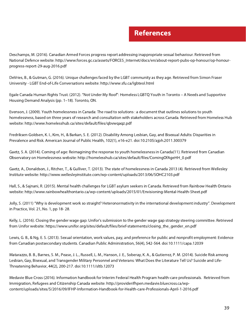## **References**

Deschamps, M. (2016). Canadian Armed Forces progress report addressing inappropriate sexual behaviour. Retrieved from National Defence website: http://www.forces.gc.ca/assets/FORCES\_Internet/docs/en/about-report-pubs-op-honour/op-honourprogress-report-29-aug-2016.pdf

DeVries, B., & Gutman, G. (2016). Unique challenges faced by the LGBT community as they age. Retrieved from Simon Fraser University - LGBT End-of-Life Conversations website: http://www.sfu.ca/lgbteol.html

Egale Canada Human Rights Trust. (2012). "Not Under My Roof": Homeless LGBTQ Youth in Toronto – A Needs and Supportive Housing Demand Analysis (pp. 1–18). Toronto, ON.

Evenson, J. (2009). Youth homelessness in Canada: The road to solutions : a document that outlines solutions to youth homelessness, based on three years of research and consultation with stakeholders across Canada. Retrieved from Homeless Hub website: http://www.homelesshub.ca/sites/default/files/qbvwqaqz.pdf

Fredriksen-Goldsen, K. I., Kim, H., & Barkan, S. E. (2012). Disability Among Lesbian, Gay, and Bisexual Adults: Disparities in Prevalence and Risk. American Journal of Public Health, 102(1), e16-e21. doi:10.2105/ajph.2011.300379

Gaetz, S. A. (2014). Coming of age: Reimagining the response to youth homelessness in Canada(11). Retrieved from Canadian Observatory on Homelessness website: http://homelesshub.ca/sites/default/files/ComingOfAgeHH\_0.pdf

Gaetz, A., Donaldson, J., Ritcher, T., & Gulliver, T. (2013). The state of homelessness in Canada 2013 (4). Retrieved from Wellesley Institute website: http://www.wellesleyinstitute.com/wp-content/uploads/2013/06/SOHC2103.pdf

Hall, S., & Sajnani, R. (2015). Mental health challenges for LGBT asylum seekers in Canada. Retrieved from Rainbow Health Ontario website: http://www.rainbowhealthontario.ca/wp-content/uploads/2015/01/Envisioning-Mental-Health-Sheet.pdf

Jolly, S. (2011) "Why is development work so straight? Heteronormativity in the international development industry". Development in Practice, Vol. 21, No. 1, pp 18- 28.

Kelly, L. (2016). Closing the gender wage gap: Unifor's submission to the gender wage gap strategy steering committee. Retrieved from Unifor website: https://www.unifor.org/sites/default/files/brief-statements/closing\_the\_gender\_en.pdf

Lewis, G. B., & Ng, E. S. (2013). Sexual orientation, work values, pay, and preference for public and nonprofit employment: Evidence from Canadian postsecondary students. Canadian Public Administration, 56(4), 542-564. doi:10.1111/capa.12039

Matarazzo, B. B., Barnes, S. M., Pease, J. L., Russell, L. M., Hanson, J. E., Soberay, K. A., & Gutierrez, P. M. (2014). Suicide Risk among Lesbian, Gay, Bisexual, and Transgender Military Personnel and Veterans: What Does the Literature Tell Us? Suicide and Life-Threatening Behavior, 44(2), 200-217. doi:10.1111/sltb.12073

Medavie Blue Cross (2016). Information handbook for Interim Federal Health Program health-care professionals. Retrieved from Immigration, Refugees and Citizenship Canada website: http://providerifhpen.medavie.bluecross.ca/wpcontent/uploads/sites/5/2016/09/IFHP-Information-Handbook-for-Health-care-Professionals-April-1-2016.pdf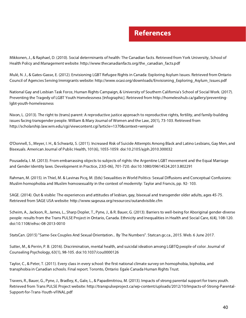### **References**

Mikkonen, J., & Raphael, D. (2010). Social determinants of health: The Canadian facts. Retrieved from York University, School of Health Policy and Management website: http://www.thecanadianfacts.org/the\_canadian\_facts.pdf

Mulé, N. J., & Gates-Gasse, E. (2012). Envisioning LGBT Refugee Rights in Canada: Exploring Asylum Issues. Retrieved from Ontario Council of Agencies Serving Immigrants website: http://www.ocasi.org/downloads/Envisioning\_Exploring\_Asylum\_Issues.pdf

National Gay and Lesbian Task Force, Human Rights Campaign, & University of Southern California's School of Social Work. (2017). Preventing the Tragedy of LGBT Youth Homelessness [Infographic]. Retrieved from http://homelesshub.ca/gallery/preventinglgbt-youth-homelessness

Nixon, L. (2013). The right to (trans) parent: A reproductive justice approach to reproductive rights, fertility, and family-building issues facing transgender people. William & Mary Journal of Women and the Law, 20(1), 73-103. Retrieved from http://scholarship.law.wm.edu/cgi/viewcontent.cgi?article=1370&context=wmjowl

O'Donnell, S., Meyer, I. H., & Schwartz, S. (2011). Increased Risk of Suicide Attempts Among Black and Latino Lesbians, Gay Men, and Bisexuals. American Journal of Public Health, 101(6), 1055-1059. doi:10.2105/ajph.2010.300032

Pousadela, I. M. (2013). From embarrassing objects to subjects of rights: the Argentine LGBT movement and the Equal Marriage and Gender Identity laws. Development in Practice, 23(5-06), 701-720. doi:10.1080/09614524.2013.802291

Rahman, M. (2015). in Thiel, M. & Lavinas Picq, M. (Eds) Sexualities in World Politics: Sexual Diffusions and Conceptual Confusions: Muslim homophobia and Muslim homosexuality in the context of modernity: Taylor and Francis, pp. 92- 103.

SAGE. (2014). Out & visible: The experiences and attitudes of lesbian, gay, bisexual and transgender older adults, ages 45-75. Retrieved from SAGE USA website: http://www.sageusa.org/resources/outandvisible.cfm

Scheim, A., Jackson, R., James, L., Sharp Dopler, T., Pyne, J., & R. Bauer, G. (2013). Barriers to well-being for Aboriginal gender-diverse people: results from the Trans PULSE Project in Ontario, Canada. Ethnicity and Inequalities in Health and Social Care, 6(4), 108-120. doi:10.1108/eihsc-08-2013-0010

StatsCan. (2015) "Same-Sex Couples And Sexual Orientation... By The Numbers". Statcan.gc.ca., 2015. Web. 6 June 2017.

Sutter, M., & Perrin, P. B. (2016). Discrimination, mental health, and suicidal ideation among LGBTQ people of color. Journal of Counseling Psychology, 63(1), 98-105. doi:10.1037/cou0000126

Taylor, C., & Peter, T. (2011). Every class in every school: the first national climate survey on homophobia, biphobia, and transphobia in Canadian schools. Final report. Toronto, Ontario: Egale Canada Human Rights Trust.

Travers, R., Bauer, G., Pyne, J., Bradley, K., Gale, L., & Papadimitriou, M. (2013). Impacts of strong parental support for trans youth. Retrieved from Trans PULSE Project website: http://transpulseproject.ca/wp-content/uploads/2012/10/Impacts-of-Strong-Parental-Support-for-Trans-Youth-vFINAL.pdf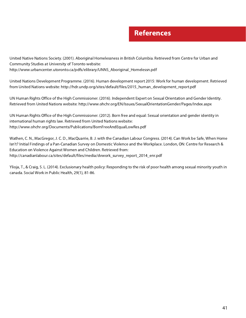## **References**

United Native Nations Society. (2001). Aboriginal Homelessness in British Columbia. Retrieved from Centre for Urban and Community Studies at University of Toronto website: http://www.urbancenter.utoronto.ca/pdfs/elibrary/UNNS\_Aboriginal\_Homelessn.pdf

United Nations Development Programme. (2016). Human development report 2015: Work for human development. Retrieved from United Nations website: http://hdr.undp.org/sites/default/files/2015\_human\_development\_report.pdf

UN Human Rights Office of the High Commissioner. (2016). Independent Expert on Sexual Orientation and Gender Identity. Retrieved from United Nations website: http://www.ohchr.org/EN/Issues/SexualOrientationGender/Pages/Index.aspx

UN Human Rights Office of the High Commissioner. (2012). Born free and equal: Sexual orientation and gender identity in international human rights law. Retrieved from United Nations website: http://www.ohchr.org/Documents/Publications/BornFreeAndEqualLowRes.pdf

Wathen, C. N., MacGregor, J. C. D., MacQuarrie, B. J. with the Canadian Labour Congress. (2014). Can Work be Safe, When Home Isn't? Initial Findings of a Pan-Canadian Survey on Domestic Violence and the Workplace. London, ON: Centre for Research & Education on Violence Against Women and Children. Retrieved from: http://canadianlabour.ca/sites/default/files/media/dvwork\_survey\_report\_2014\_enr.pdf

Ylioja, T., & Craig, S. L. (2014). Exclusionary health policy: Responding to the risk of poor health among sexual minority youth in canada. Social Work in Public Health, 29(1), 81-86.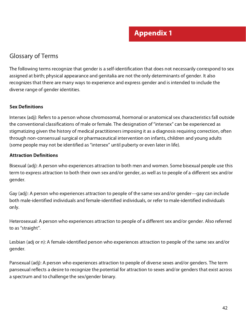## Glossary of Terms

The following terms recognize that gender is a self-identification that does not necessarily correspond to sex assigned at birth; physical appearance and genitalia are not the only determinants of gender. It also recognizes that there are many ways to experience and express gender and is intended to include the diverse range of gender identities.

#### Sex Definitions

Intersex (adj): Refers to a person whose chromosomal, hormonal or anatomical sex characteristics fall outside the conventional classifications of male or female. The designation of "intersex" can be experienced as stigmatizing given the history of medical practitioners imposing it as a diagnosis requiring correction, often through non-consensual surgical or pharmaceutical intervention on infants, children and young adults (some people may not be identified as "intersex" until puberty or even later in life).

#### Attraction Definitions

Bisexual (adj): A person who experiences attraction to both men and women. Some bisexual people use this term to express attraction to both their own sex and/or gender, as well as to people of a different sex and/or gender.

Gay (adj): A person who experiences attraction to people of the same sex and/or gender—gay can include both male-identified individuals and female-identified individuals, or refer to male-identified individuals only.

Heterosexual: A person who experiences attraction to people of a different sex and/or gender. Also referred to as "straight".

Lesbian (adj or n): A female-identified person who experiences attraction to people of the same sex and/or gender.

Pansexual (adj): A person who experiences attraction to people of diverse sexes and/or genders. The term pansexual reflects a desire to recognize the potential for attraction to sexes and/or genders that exist across a spectrum and to challenge the sex/gender binary.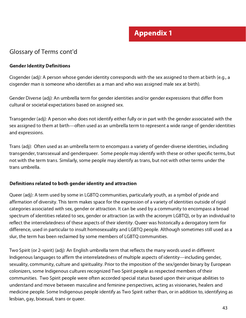#### Glossary of Terms cont'd

#### Gender Identity Definitions

Cisgender (adj): A person whose gender identity corresponds with the sex assigned to them at birth (e.g., a cisgender man is someone who identifies as a man and who was assigned male sex at birth).

Gender Diverse (adj): An umbrella term for gender identities and/or gender expressions that differ from cultural or societal expectations based on assigned sex.

Transgender (adj): A person who does not identify either fully or in part with the gender associated with the sex assigned to them at birth—often used as an umbrella term to represent a wide range of gender identities and expressions.

Trans (adj): Often used as an umbrella term to encompass a variety of gender-diverse identities, including transgender, transsexual and genderqueer. Some people may identify with these or other specific terms, but not with the term trans. Similarly, some people may identify as trans, but not with other terms under the trans umbrella.

#### Definitions related to both gender identity and attraction

Queer (adj): A term used by some in LGBTQ communities, particularly youth, as a symbol of pride and affirmation of diversity. This term makes space for the expression of a variety of identities outside of rigid categories associated with sex, gender or attraction. It can be used by a community to encompass a broad spectrum of identities related to sex, gender or attraction (as with the acronym LGBTQ), or by an individual to reflect the interrelatedness of these aspects of their identity. Queer was historically a derogatory term for difference, used in particular to insult homosexuality and LGBTQ people. Although sometimes still used as a slur, the term has been reclaimed by some members of LGBTQ communities.

Two Spirit (or 2-spirit) (adj): An English umbrella term that reflects the many words used in different Indigenous languages to affirm the interrelatedness of multiple aspects of identity—including gender, sexuality, community, culture and spirituality. Prior to the imposition of the sex/gender binary by European colonizers, some Indigenous cultures recognized Two Spirit people as respected members of their communities. Two Spirit people were often accorded special status based upon their unique abilities to understand and move between masculine and feminine perspectives, acting as visionaries, healers and medicine people. Some Indigenous people identify as Two Spirit rather than, or in addition to, identifying as lesbian, gay, bisexual, trans or queer.